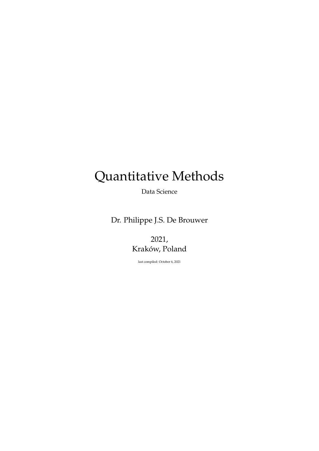# Quantitative Methods

Data Science

Dr. Philippe J.S. De Brouwer

2021, Kraków, Poland

last compiled: October 6, 2021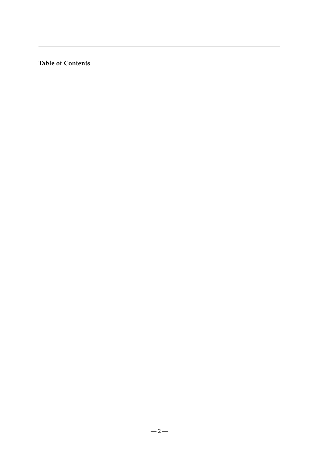**Table of Contents**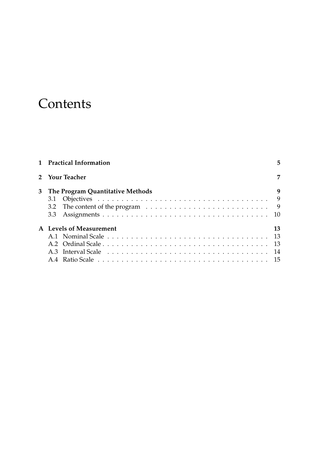# **Contents**

| 1 Practical Information            | 5  |
|------------------------------------|----|
| 2 Your Teacher                     | 7  |
| 3 The Program Quantitative Methods | 9  |
|                                    |    |
|                                    |    |
|                                    |    |
| A Levels of Measurement            | 13 |
|                                    |    |
|                                    |    |
|                                    |    |
|                                    |    |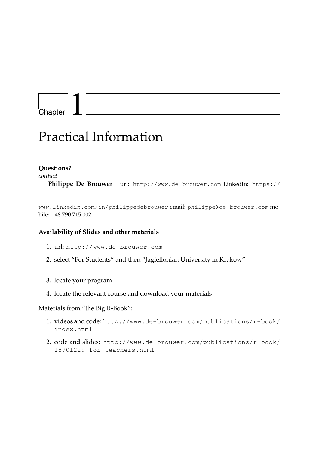## Chapter 1

## Practical Information

#### **Questions?**

*contact*

**Philippe De Brouwer** url: http://www.de-brouwer.com LinkedIn: https://

www.linkedin.com/in/philippedebrouwer email: philippe@de-brouwer.com mobile: +48 790 715 002

#### **Availability of Slides and other materials**

- 1. url: http://www.de-brouwer.com
- 2. select "For Students" and then "Jagiellonian University in Krakow"
- 3. locate your program
- 4. locate the relevant course and download your materials

#### Materials from "the Big R-Book":

- 1. videos and code: http://www.de-brouwer.com/publications/r-book/ index.html
- 2. code and slides: http://www.de-brouwer.com/publications/r-book/ 18901229-for-teachers.html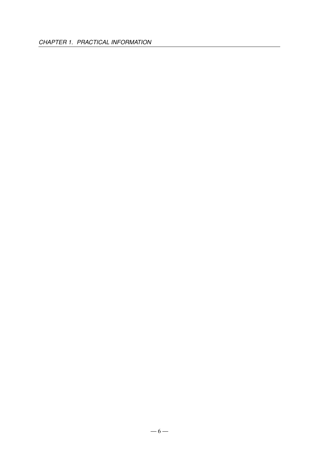CHAPTER 1. PRACTICAL INFORMATION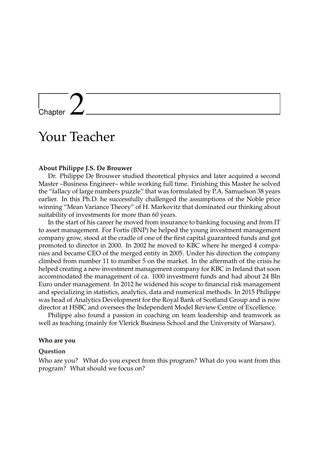# **Chapter**

### Your Teacher

#### **About Philippe J.S. De Brouwer**

Dr. Philippe De Brouwer studied theoretical physics and later acquired a second Master –Business Engineer– while working full time. Finishing this Master he solved the "fallacy of large numbers puzzle" that was formulated by P.A. Samuelson 38 years earlier. In this Ph.D. he successfully challenged the assumptions of the Noble price winning "Mean Variance Theory" of H. Markovitz that dominated our thinking about suitability of investments for more than 60 years.

In the start of his career he moved from insurance to banking focusing and from IT to asset management. For Fortis (BNP) he helped the young investment management company grow, stood at the cradle of one of the first capital guaranteed funds and got promoted to director in 2000. In 2002 he moved to KBC where he merged 4 companies and became CEO of the merged entity in 2005. Under his direction the company climbed from number 11 to number 5 on the market. In the aftermath of the crisis he helped creating a new investment management company for KBC in Ireland that soon accommodated the management of ca. 1000 investment funds and had about 24 Bln Euro under management. In 2012 he widened his scope to financial risk management and specializing in statistics, analytics, data and numerical methods. In 2015 Philippe was head of Analytics Development for the Royal Bank of Scotland Group and is now director at HSBC and oversees the Independent Model Review Centre of Excellence.

Philippe also found a passion in coaching on team leadership and teamwork as well as teaching (mainly for Vlerick Business School and the University of Warsaw).

#### **Who are you**

#### **Question**

Who are you? What do you expect from this program? What do you want from this program? What should we focus on?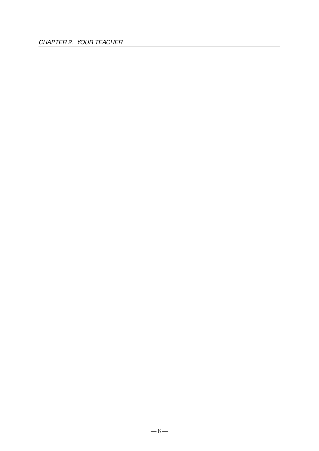CHAPTER 2. YOUR TEACHER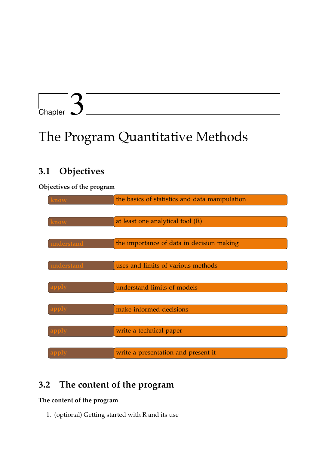# Chapter  $3$

# The Program Quantitative Methods

### **3.1 Objectives**

#### **Objectives of the program**

|            | the basics of statistics and data manipulation |
|------------|------------------------------------------------|
|            |                                                |
| know       | at least one analytical tool (R)               |
|            |                                                |
| understand | the importance of data in decision making      |
|            |                                                |
| understand | uses and limits of various methods             |
|            |                                                |
| apply      | understand limits of models                    |
|            |                                                |
| apply      | make informed decisions                        |
|            |                                                |
| apply      | write a technical paper                        |
|            |                                                |
|            | write a presentation and present it            |

### **3.2 The content of the program**

#### **The content of the program**

1. (optional) Getting started with R and its use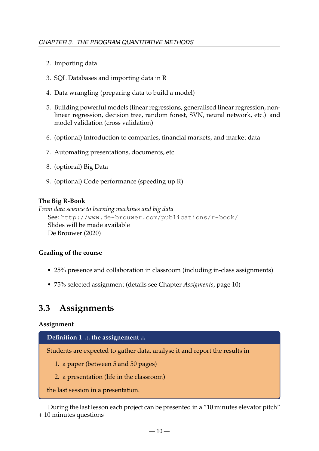- 2. Importing data
- 3. SQL Databases and importing data in R
- 4. Data wrangling (preparing data to build a model)
- 5. Building powerful models (linear regressions, generalised linear regression, nonlinear regression, decision tree, random forest, SVN, neural network, etc.) and model validation (cross validation)
- 6. (optional) Introduction to companies, financial markets, and market data
- 7. Automating presentations, documents, etc.
- 8. (optional) Big Data
- 9. (optional) Code performance (speeding up R)

#### **The Big R-Book**

*From data science to learning machines and big data* See: http://www.de-brouwer.com/publications/r-book/ Slides will be made available De Brouwer (2020)

#### **Grading of the course**

- 25% presence and collaboration in classroom (including in-class assignments)
- 75% selected assignment (details see Chapter *Assigments*, page 10)

### **3.3 Assignments**

#### **Assignment**

#### **Definition 1 .:. the assignement .:.**

Students are expected to gather data, analyse it and report the results in

- 1. a paper (between 5 and 50 pages)
- 2. a presentation (life in the classroom)

the last session in a presentation.

During the last lesson each project can be presented in a "10 minutes elevator pitch" + 10 minutes questions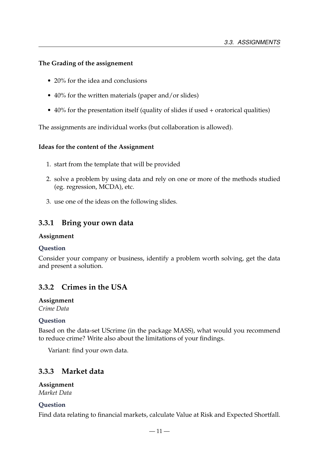#### **The Grading of the assignement**

- 20% for the idea and conclusions
- 40% for the written materials (paper and/or slides)
- 40% for the presentation itself (quality of slides if used + oratorical qualities)

The assignments are individual works (but collaboration is allowed).

#### **Ideas for the content of the Assignment**

- 1. start from the template that will be provided
- 2. solve a problem by using data and rely on one or more of the methods studied (eg. regression, MCDA), etc.
- 3. use one of the ideas on the following slides.

#### **3.3.1 Bring your own data**

#### **Assignment**

#### **Question**

Consider your company or business, identify a problem worth solving, get the data and present a solution.

#### **3.3.2 Crimes in the USA**

#### **Assignment**

*Crime Data*

#### **Question**

Based on the data-set UScrime (in the package MASS), what would you recommend to reduce crime? Write also about the limitations of your findings.

Variant: find your own data.

#### **3.3.3 Market data**

**Assignment** *Market Data*

#### **Question**

Find data relating to financial markets, calculate Value at Risk and Expected Shortfall.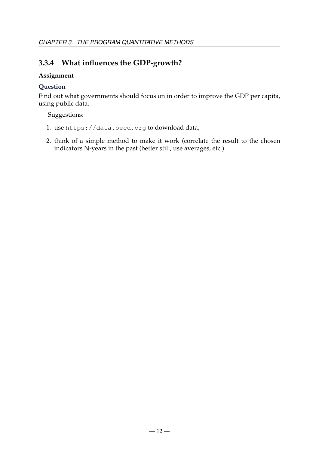### **3.3.4 What influences the GDP-growth?**

#### **Assignment**

#### **Question**

Find out what governments should focus on in order to improve the GDP per capita, using public data.

Suggestions:

- 1. use https://data.oecd.org to download data,
- 2. think of a simple method to make it work (correlate the result to the chosen indicators N-years in the past (better still, use averages, etc.)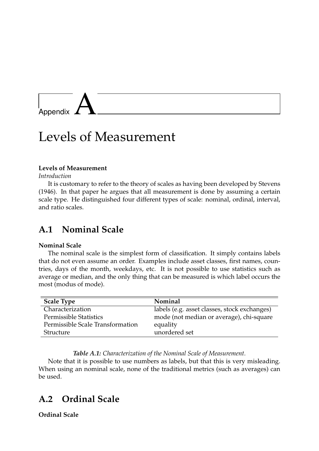# AppendixA

## Levels of Measurement

#### **Levels of Measurement**

*Introduction*

It is customary to refer to the theory of scales as having been developed by Stevens (1946). In that paper he argues that all measurement is done by assuming a certain scale type. He distinguished four different types of scale: nominal, ordinal, interval, and ratio scales.

### **A.1 Nominal Scale**

#### **Nominal Scale**

The nominal scale is the simplest form of classification. It simply contains labels that do not even assume an order. Examples include asset classes, first names, countries, days of the month, weekdays, etc. It is not possible to use statistics such as average or median, and the only thing that can be measured is which label occurs the most (modus of mode).

| <b>Scale Type</b>                | Nominal                                      |
|----------------------------------|----------------------------------------------|
| Characterization                 | labels (e.g. asset classes, stock exchanges) |
| <b>Permissible Statistics</b>    | mode (not median or average), chi-square     |
| Permissible Scale Transformation | equality                                     |
| Structure                        | unordered set                                |

#### *Table A.1: Characterization of the Nominal Scale of Measurement.*

Note that it is possible to use numbers as labels, but that this is very misleading. When using an nominal scale, none of the traditional metrics (such as averages) can be used.

### **A.2 Ordinal Scale**

**Ordinal Scale**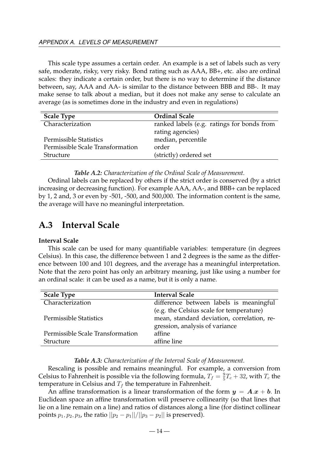#### *APPENDIX A. LEVELS OF MEASUREMENT*

This scale type assumes a certain order. An example is a set of labels such as very safe, moderate, risky, very risky. Bond rating such as AAA, BB+, etc. also are ordinal scales: they indicate a certain order, but there is no way to determine if the distance between, say, AAA and AA- is similar to the distance between BBB and BB-. It may make sense to talk about a median, but it does not make any sense to calculate an average (as is sometimes done in the industry and even in regulations)

| <b>Scale Type</b>                | <b>Ordinal Scale</b>                       |
|----------------------------------|--------------------------------------------|
| Characterization                 | ranked labels (e.g. ratings for bonds from |
|                                  | rating agencies)                           |
| <b>Permissible Statistics</b>    | median, percentile                         |
| Permissible Scale Transformation | order                                      |
| Structure                        | (strictly) ordered set                     |

*Table A.2: Characterization of the Ordinal Scale of Measurement.*

Ordinal labels can be replaced by others if the strict order is conserved (by a strict increasing or decreasing function). For example AAA, AA-, and BBB+ can be replaced by 1, 2 and, 3 or even by -501, -500, and 500,000. The information content is the same, the average will have no meaningful interpretation.

### **A.3 Interval Scale**

#### **Interval Scale**

This scale can be used for many quantifiable variables: temperature (in degrees Celsius). In this case, the difference between 1 and 2 degrees is the same as the difference between 100 and 101 degrees, and the average has a meaningful interpretation. Note that the zero point has only an arbitrary meaning, just like using a number for an ordinal scale: it can be used as a name, but it is only a name.

| <b>Scale Type</b>                | <b>Interval Scale</b>                      |
|----------------------------------|--------------------------------------------|
| Characterization                 | difference between labels is meaningful    |
|                                  | (e.g. the Celsius scale for temperature)   |
| <b>Permissible Statistics</b>    | mean, standard deviation, correlation, re- |
|                                  | gression, analysis of variance             |
| Permissible Scale Transformation | affine                                     |
| Structure                        | affine line                                |

#### *Table A.3: Characterization of the Interval Scale of Measurement.*

Rescaling is possible and remains meaningful. For example, a conversion from Celsius to Fahrenheit is possible via the following formula,  $T_f = \frac{9}{5}$  $\frac{9}{5}T_c + 32$ , with  $T_c$  the temperature in Celsius and  $T_f$  the temperature in Fahrenheit.

An affine transformation is a linear transformation of the form  $y = A.x + b$ . In Euclidean space an affine transformation will preserve collinearity (so that lines that lie on a line remain on a line) and ratios of distances along a line (for distinct collinear points  $p_1, p_2, p_3$ , the ratio  $||p_2 - p_1||/||p_3 - p_2||$  is preserved).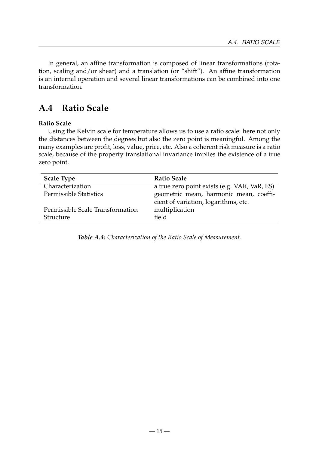In general, an affine transformation is composed of linear transformations (rotation, scaling and/or shear) and a translation (or "shift"). An affine transformation is an internal operation and several linear transformations can be combined into one transformation.

### **A.4 Ratio Scale**

#### **Ratio Scale**

Using the Kelvin scale for temperature allows us to use a ratio scale: here not only the distances between the degrees but also the zero point is meaningful. Among the many examples are profit, loss, value, price, etc. Also a coherent risk measure is a ratio scale, because of the property translational invariance implies the existence of a true zero point.

| <b>Scale Type</b>                | <b>Ratio Scale</b>                                                             |
|----------------------------------|--------------------------------------------------------------------------------|
| Characterization                 | a true zero point exists (e.g. VAR, VaR, ES)                                   |
| <b>Permissible Statistics</b>    | geometric mean, harmonic mean, coeffi-<br>cient of variation, logarithms, etc. |
| Permissible Scale Transformation | multiplication                                                                 |
| Structure                        | field                                                                          |

*Table A.4: Characterization of the Ratio Scale of Measurement.*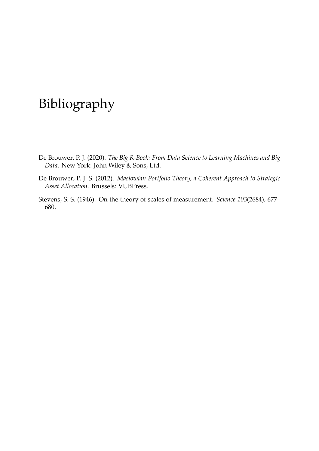# Bibliography

- De Brouwer, P. J. (2020). *The Big R-Book: From Data Science to Learning Machines and Big Data*. New York: John Wiley & Sons, Ltd.
- De Brouwer, P. J. S. (2012). *Maslowian Portfolio Theory, a Coherent Approach to Strategic Asset Allocation*. Brussels: VUBPress.
- Stevens, S. S. (1946). On the theory of scales of measurement. *Science 103*(2684), 677– 680.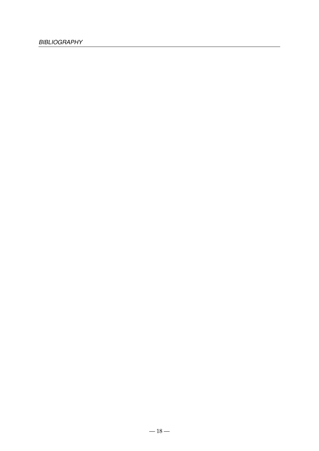**BIBLIOGRAPHY**